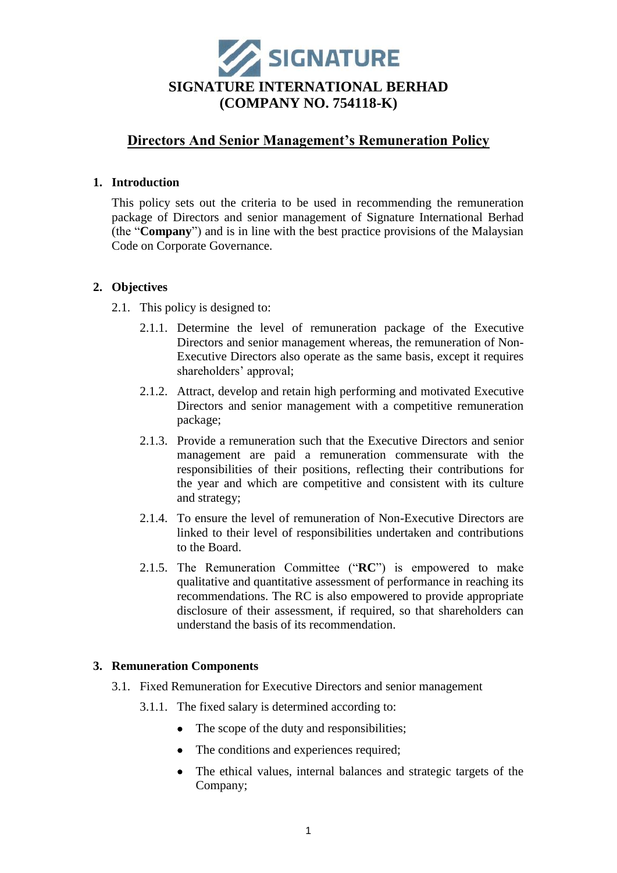

# **Directors And Senior Management's Remuneration Policy**

## **1. Introduction**

This policy sets out the criteria to be used in recommending the remuneration package of Directors and senior management of Signature International Berhad (the "**Company**") and is in line with the best practice provisions of the Malaysian Code on Corporate Governance.

# **2. Objectives**

- 2.1. This policy is designed to:
	- 2.1.1. Determine the level of remuneration package of the Executive Directors and senior management whereas, the remuneration of Non-Executive Directors also operate as the same basis, except it requires shareholders' approval;
	- 2.1.2. Attract, develop and retain high performing and motivated Executive Directors and senior management with a competitive remuneration package;
	- 2.1.3. Provide a remuneration such that the Executive Directors and senior management are paid a remuneration commensurate with the responsibilities of their positions, reflecting their contributions for the year and which are competitive and consistent with its culture and strategy;
	- 2.1.4. To ensure the level of remuneration of Non-Executive Directors are linked to their level of responsibilities undertaken and contributions to the Board.
	- 2.1.5. The Remuneration Committee ("**RC**") is empowered to make qualitative and quantitative assessment of performance in reaching its recommendations. The RC is also empowered to provide appropriate disclosure of their assessment, if required, so that shareholders can understand the basis of its recommendation.

# **3. Remuneration Components**

- 3.1. Fixed Remuneration for Executive Directors and senior management
	- 3.1.1. The fixed salary is determined according to:
		- The scope of the duty and responsibilities;
		- The conditions and experiences required;
		- The ethical values, internal balances and strategic targets of the Company;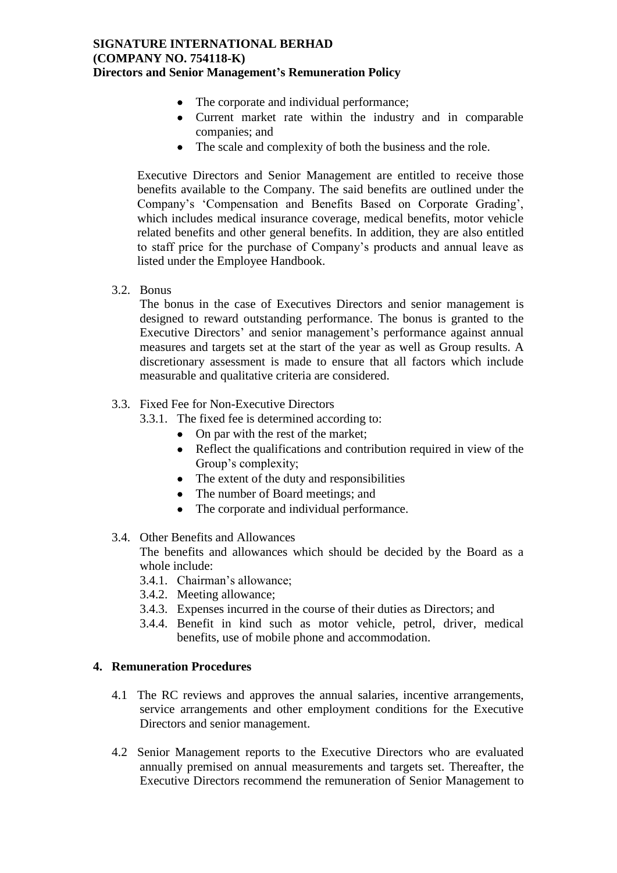## **SIGNATURE INTERNATIONAL BERHAD (COMPANY NO. 754118-K) Directors and Senior Management's Remuneration Policy**

- The corporate and individual performance;
- Current market rate within the industry and in comparable companies; and
- The scale and complexity of both the business and the role.

Executive Directors and Senior Management are entitled to receive those benefits available to the Company. The said benefits are outlined under the Company's 'Compensation and Benefits Based on Corporate Grading', which includes medical insurance coverage, medical benefits, motor vehicle related benefits and other general benefits. In addition, they are also entitled to staff price for the purchase of Company's products and annual leave as listed under the Employee Handbook.

3.2. Bonus

The bonus in the case of Executives Directors and senior management is designed to reward outstanding performance. The bonus is granted to the Executive Directors' and senior management's performance against annual measures and targets set at the start of the year as well as Group results. A discretionary assessment is made to ensure that all factors which include measurable and qualitative criteria are considered.

- 3.3. Fixed Fee for Non-Executive Directors
	- 3.3.1. The fixed fee is determined according to:
		- On par with the rest of the market:
		- Reflect the qualifications and contribution required in view of the Group's complexity;
		- The extent of the duty and responsibilities
		- The number of Board meetings; and
		- The corporate and individual performance.
- 3.4. Other Benefits and Allowances

The benefits and allowances which should be decided by the Board as a whole include:

- 3.4.1. Chairman's allowance;
- 3.4.2. Meeting allowance;
- 3.4.3. Expenses incurred in the course of their duties as Directors; and
- 3.4.4. Benefit in kind such as motor vehicle, petrol, driver, medical benefits, use of mobile phone and accommodation.

### **4. Remuneration Procedures**

- 4.1 The RC reviews and approves the annual salaries, incentive arrangements, service arrangements and other employment conditions for the Executive Directors and senior management.
- 4.2 Senior Management reports to the Executive Directors who are evaluated annually premised on annual measurements and targets set. Thereafter, the Executive Directors recommend the remuneration of Senior Management to